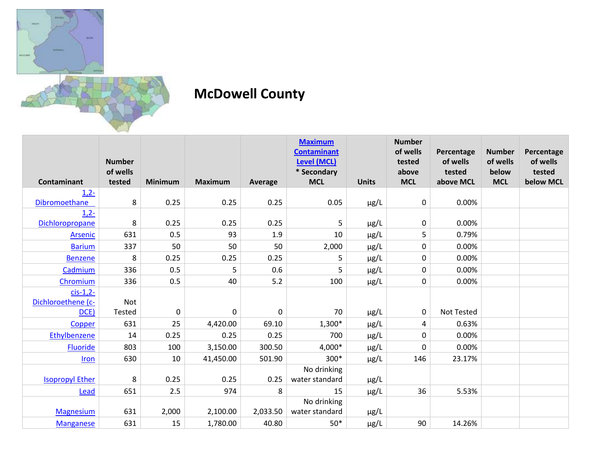

## **McDowell County**

|                        | <b>Number</b> |                |                |             | <b>Maximum</b><br><b>Contaminant</b><br><b>Level (MCL)</b> |              | <b>Number</b><br>of wells<br>tested | Percentage<br>of wells | <b>Number</b><br>of wells | Percentage<br>of wells |
|------------------------|---------------|----------------|----------------|-------------|------------------------------------------------------------|--------------|-------------------------------------|------------------------|---------------------------|------------------------|
|                        | of wells      |                |                |             | * Secondary                                                |              | above                               | tested                 | below                     | tested                 |
| <b>Contaminant</b>     | tested        | <b>Minimum</b> | <b>Maximum</b> | Average     | <b>MCL</b>                                                 | <b>Units</b> | <b>MCL</b>                          | above MCL              | <b>MCL</b>                | below MCL              |
| $1,2-$                 |               |                |                |             |                                                            |              |                                     |                        |                           |                        |
| Dibromoethane          | 8             | 0.25           | 0.25           | 0.25        | 0.05                                                       | $\mu$ g/L    | 0                                   | 0.00%                  |                           |                        |
| $1,2-$                 |               |                |                |             |                                                            |              |                                     |                        |                           |                        |
| Dichloropropane        | 8             | 0.25           | 0.25           | 0.25        | 5                                                          | $\mu$ g/L    | 0                                   | 0.00%                  |                           |                        |
| <b>Arsenic</b>         | 631           | 0.5            | 93             | 1.9         | 10                                                         | µg/L         | 5                                   | 0.79%                  |                           |                        |
| <b>Barium</b>          | 337           | 50             | 50             | 50          | 2,000                                                      | $\mu$ g/L    | 0                                   | 0.00%                  |                           |                        |
| <b>Benzene</b>         | 8             | 0.25           | 0.25           | 0.25        | 5                                                          | $\mu$ g/L    | 0                                   | 0.00%                  |                           |                        |
| Cadmium                | 336           | 0.5            | 5              | 0.6         | 5                                                          | $\mu$ g/L    | 0                                   | 0.00%                  |                           |                        |
| Chromium               | 336           | 0.5            | 40             | 5.2         | 100                                                        | $\mu$ g/L    | 0                                   | 0.00%                  |                           |                        |
| $cis-1,2$ -            |               |                |                |             |                                                            |              |                                     |                        |                           |                        |
| Dichloroethene (c-     | Not           |                |                |             |                                                            |              |                                     |                        |                           |                        |
| DCE                    | Tested        | $\mathbf 0$    | $\pmb{0}$      | $\mathbf 0$ | 70                                                         | $\mu$ g/L    | 0                                   | <b>Not Tested</b>      |                           |                        |
| Copper                 | 631           | 25             | 4,420.00       | 69.10       | $1,300*$                                                   | µg/L         | 4                                   | 0.63%                  |                           |                        |
| Ethylbenzene           | 14            | 0.25           | 0.25           | 0.25        | 700                                                        | $\mu$ g/L    | 0                                   | 0.00%                  |                           |                        |
| <b>Fluoride</b>        | 803           | 100            | 3,150.00       | 300.50      | 4,000*                                                     | µg/L         | 0                                   | 0.00%                  |                           |                        |
| Iron                   | 630           | 10             | 41,450.00      | 501.90      | 300*                                                       | $\mu$ g/L    | 146                                 | 23.17%                 |                           |                        |
|                        |               |                |                |             | No drinking                                                |              |                                     |                        |                           |                        |
| <b>Isopropyl Ether</b> | 8             | 0.25           | 0.25           | 0.25        | water standard                                             | $\mu$ g/L    |                                     |                        |                           |                        |
| Lead                   | 651           | 2.5            | 974            | 8           | 15                                                         | $\mu$ g/L    | 36                                  | 5.53%                  |                           |                        |
|                        |               |                |                |             | No drinking                                                |              |                                     |                        |                           |                        |
| <b>Magnesium</b>       | 631           | 2,000          | 2,100.00       | 2,033.50    | water standard                                             | $\mu$ g/L    |                                     |                        |                           |                        |
| <b>Manganese</b>       | 631           | 15             | 1,780.00       | 40.80       | $50*$                                                      | $\mu$ g/L    | 90                                  | 14.26%                 |                           |                        |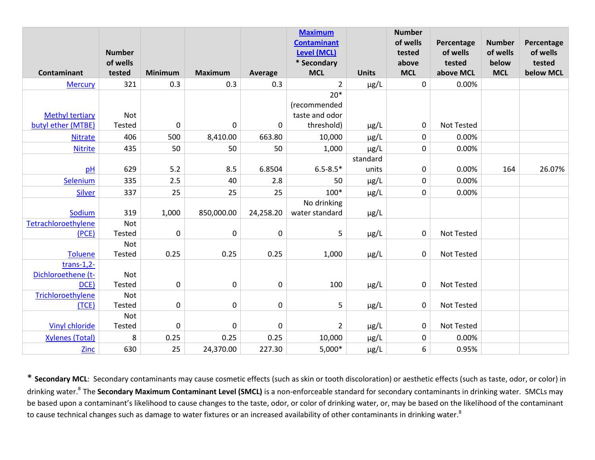|                        | <b>Number</b>      |                  |                |             | <b>Maximum</b><br><b>Contaminant</b><br><b>Level (MCL)</b> |              | <b>Number</b><br>of wells<br>tested | Percentage<br>of wells | <b>Number</b><br>of wells | Percentage<br>of wells |
|------------------------|--------------------|------------------|----------------|-------------|------------------------------------------------------------|--------------|-------------------------------------|------------------------|---------------------------|------------------------|
| <b>Contaminant</b>     | of wells<br>tested | <b>Minimum</b>   | <b>Maximum</b> | Average     | * Secondary<br><b>MCL</b>                                  | <b>Units</b> | above<br><b>MCL</b>                 | tested<br>above MCL    | below<br><b>MCL</b>       | tested<br>below MCL    |
| <b>Mercury</b>         | 321                | 0.3              | 0.3            | 0.3         | 2                                                          | $\mu$ g/L    | 0                                   | 0.00%                  |                           |                        |
|                        |                    |                  |                |             | $20*$                                                      |              |                                     |                        |                           |                        |
|                        |                    |                  |                |             | (recommended                                               |              |                                     |                        |                           |                        |
| <b>Methyl tertiary</b> | Not                |                  |                |             | taste and odor                                             |              |                                     |                        |                           |                        |
| butyl ether (MTBE)     | Tested             | $\boldsymbol{0}$ | 0              | 0           | threshold)                                                 | $\mu$ g/L    | 0                                   | <b>Not Tested</b>      |                           |                        |
| <b>Nitrate</b>         | 406                | 500              | 8,410.00       | 663.80      | 10,000                                                     | $\mu$ g/L    | 0                                   | 0.00%                  |                           |                        |
| <b>Nitrite</b>         | 435                | 50               | 50             | 50          | 1,000                                                      | $\mu$ g/L    | 0                                   | 0.00%                  |                           |                        |
|                        |                    |                  |                |             |                                                            | standard     |                                     |                        |                           |                        |
| pH                     | 629                | 5.2              | 8.5            | 6.8504      | $6.5 - 8.5*$                                               | units        | 0                                   | 0.00%                  | 164                       | 26.07%                 |
| Selenium               | 335                | 2.5              | 40             | 2.8         | 50                                                         | $\mu$ g/L    | $\pmb{0}$                           | 0.00%                  |                           |                        |
| Silver                 | 337                | 25               | 25             | 25          | $100*$                                                     | $\mu$ g/L    | 0                                   | 0.00%                  |                           |                        |
|                        |                    |                  |                |             | No drinking                                                |              |                                     |                        |                           |                        |
| Sodium                 | 319                | 1,000            | 850,000.00     | 24,258.20   | water standard                                             | $\mu$ g/L    |                                     |                        |                           |                        |
| Tetrachloroethylene    | Not                |                  |                |             |                                                            |              |                                     |                        |                           |                        |
| (PCE)                  | <b>Tested</b>      | $\mathbf 0$      | $\pmb{0}$      | $\mathbf 0$ | 5                                                          | $\mu$ g/L    | 0                                   | <b>Not Tested</b>      |                           |                        |
|                        | Not                |                  |                |             |                                                            |              |                                     |                        |                           |                        |
| <b>Toluene</b>         | Tested             | 0.25             | 0.25           | 0.25        | 1,000                                                      | µg/L         | 0                                   | Not Tested             |                           |                        |
| $trans-1,2-$           |                    |                  |                |             |                                                            |              |                                     |                        |                           |                        |
| Dichloroethene (t-     | Not                |                  |                |             |                                                            |              |                                     |                        |                           |                        |
| DCE)                   | <b>Tested</b>      | 0                | $\pmb{0}$      | $\mathbf 0$ | 100                                                        | $\mu$ g/L    | 0                                   | Not Tested             |                           |                        |
| Trichloroethylene      | Not                |                  |                |             |                                                            |              |                                     |                        |                           |                        |
| (TCE)                  | Tested<br>Not      | $\mathbf 0$      | $\mathbf 0$    | $\mathbf 0$ | 5                                                          | µg/L         | 0                                   | Not Tested             |                           |                        |
| <b>Vinyl chloride</b>  | Tested             | $\mathbf 0$      | $\mathbf 0$    | $\mathbf 0$ | $\overline{2}$                                             | $\mu$ g/L    | 0                                   | Not Tested             |                           |                        |
| <b>Xylenes (Total)</b> | 8                  | 0.25             | 0.25           | 0.25        | 10,000                                                     |              | 0                                   | 0.00%                  |                           |                        |
|                        |                    |                  |                |             |                                                            | $\mu$ g/L    |                                     |                        |                           |                        |
| <b>Zinc</b>            | 630                | 25               | 24,370.00      | 227.30      | $5,000*$                                                   | $\mu$ g/L    | 6                                   | 0.95%                  |                           |                        |

\* **Secondary MCL**: Secondary contaminants may cause cosmetic effects (such as skin or tooth discoloration) or aesthetic effects (such as taste, odor, or color) in drinking water.<sup>8</sup>The **Secondary Maximum Contaminant Level (SMCL)** is a non-enforceable standard for secondary contaminants in drinking water. SMCLs may be based upon a contaminant's likelihood to cause changes to the taste, odor, or color of drinking water, or, may be based on the likelihood of the contaminant to cause technical changes such as damage to water fixtures or an increased availability of other contaminants in drinking water.<sup>8</sup>